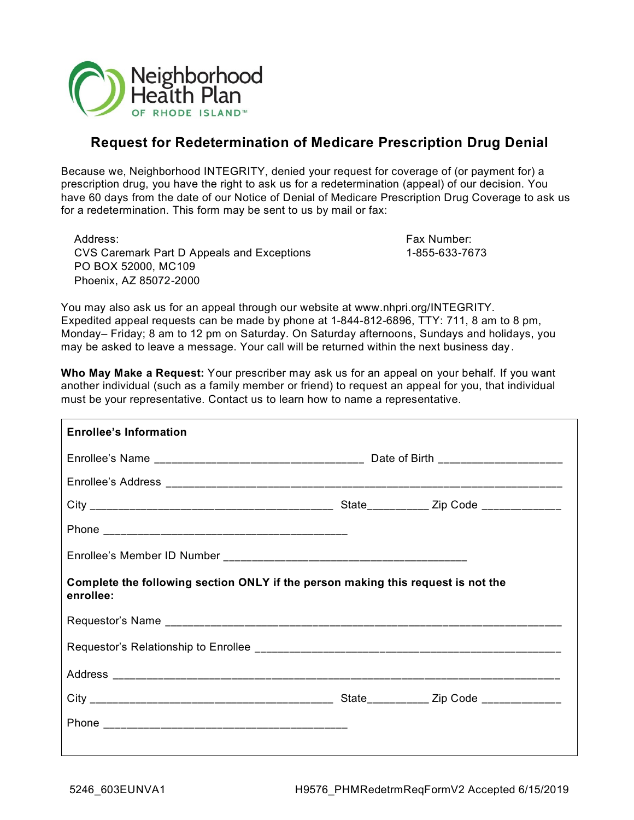

# **Request for Redetermination of Medicare Prescription Drug Denial**

Because we, Neighborhood INTEGRITY, denied your request for coverage of (or payment for) a prescription drug, you have the right to ask us for a redetermination (appeal) of our decision. You have 60 days from the date of our Notice of Denial of Medicare Prescription Drug Coverage to ask us for a redetermination. This form may be sent to us by mail or fax:

Address: Fax Number: CVS Caremark Part D Appeals and Exceptions 1-855-633-7673 PO BOX 52000, MC109 Phoenix, AZ 85072-2000

You may also ask us for an appeal through our website at www.nhpri.org/INTEGRITY. Expedited appeal requests can be made by phone at 1-844-812-6896, TTY: 711, 8 am to 8 pm, Monday– Friday; 8 am to 12 pm on Saturday. On Saturday afternoons, Sundays and holidays, you may be asked to leave a message. Your call will be returned within the next business day .

**Who May Make a Request:** Your prescriber may ask us for an appeal on your behalf. If you want another individual (such as a family member or friend) to request an appeal for you, that individual must be your representative. Contact us to learn how to name a representative.

| <b>Enrollee's Information</b>                                                                 |  |                                         |  |  |
|-----------------------------------------------------------------------------------------------|--|-----------------------------------------|--|--|
|                                                                                               |  |                                         |  |  |
|                                                                                               |  |                                         |  |  |
|                                                                                               |  |                                         |  |  |
|                                                                                               |  |                                         |  |  |
|                                                                                               |  |                                         |  |  |
| Complete the following section ONLY if the person making this request is not the<br>enrollee: |  |                                         |  |  |
|                                                                                               |  |                                         |  |  |
|                                                                                               |  |                                         |  |  |
|                                                                                               |  |                                         |  |  |
|                                                                                               |  | State___________ Zip Code _____________ |  |  |
|                                                                                               |  |                                         |  |  |
|                                                                                               |  |                                         |  |  |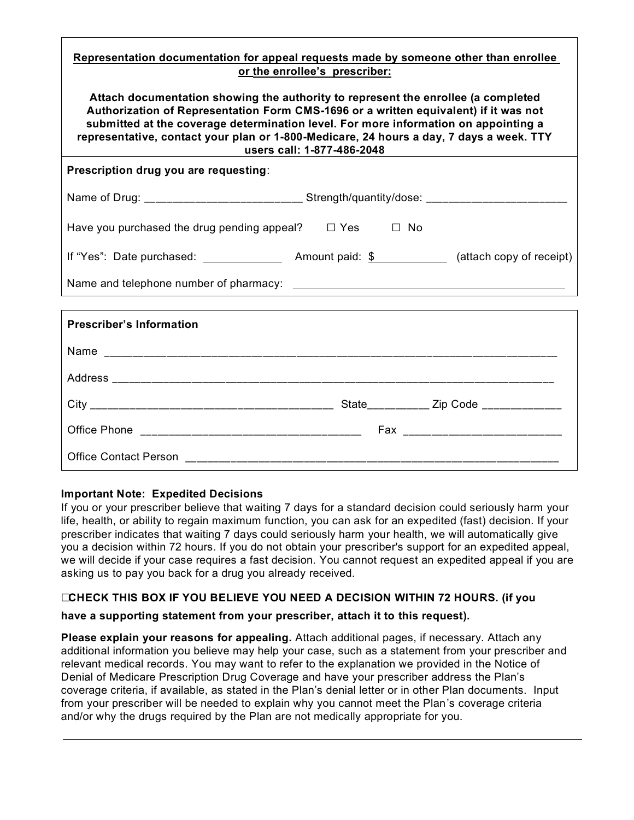#### **Representation documentation for appeal requests made by someone other than enrollee or the enrollee's prescriber:**

**Attach documentation showing the authority to represent the enrollee (a completed Authorization of Representation Form CMS-1696 or a written equivalent) if it was not submitted at the coverage determination level. For more information on appointing a representative, contact your plan or 1-800-Medicare, 24 hours a day, 7 days a week. TTY users call: 1-877-486-2048**

**Prescription drug you are requesting**:

| Strength/quantity/dose: __________________<br>Name of Drug: ____________________________ |                    |                          |
|------------------------------------------------------------------------------------------|--------------------|--------------------------|
| Have you purchased the drug pending appeal?                                              | $\Box$ Yes<br>□ No |                          |
| If "Yes": Date purchased:                                                                | Amount paid: \$    | (attach copy of receipt) |
| Name and telephone number of pharmacy:                                                   |                    |                          |

| <b>Prescriber's Information</b> |                                         |
|---------------------------------|-----------------------------------------|
|                                 |                                         |
|                                 |                                         |
|                                 | State___________ Zip Code _____________ |
|                                 |                                         |
|                                 |                                         |

#### **Important Note: Expedited Decisions**

If you or your prescriber believe that waiting 7 days for a standard decision could seriously harm your life, health, or ability to regain maximum function, you can ask for an expedited (fast) decision. If your prescriber indicates that waiting 7 days could seriously harm your health, we will automatically give you a decision within 72 hours. If you do not obtain your prescriber's support for an expedited appeal, we will decide if your case requires a fast decision. You cannot request an expedited appeal if you are asking us to pay you back for a drug you already received.

## ☐**CHECK THIS BOX IF YOU BELIEVE YOU NEED A DECISION WITHIN 72 HOURS. (if you**

## **have a supporting statement from your prescriber, attach it to this request).**

**Please explain your reasons for appealing.** Attach additional pages, if necessary. Attach any additional information you believe may help your case, such as a statement from your prescriber and relevant medical records. You may want to refer to the explanation we provided in the Notice of Denial of Medicare Prescription Drug Coverage and have your prescriber address the Plan's coverage criteria, if available, as stated in the Plan's denial letter or in other Plan documents. Input from your prescriber will be needed to explain why you cannot meet the Plan's coverage criteria and/or why the drugs required by the Plan are not medically appropriate for you.